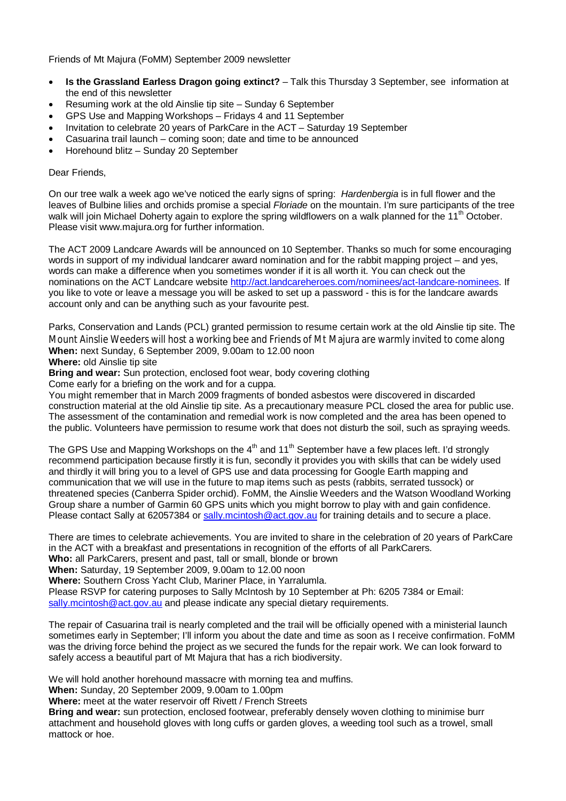Friends of Mt Majura (FoMM) September 2009 newsletter

- **Is the Grassland Earless Dragon going extinct?** Talk this Thursday 3 September, see information at the end of this newsletter
- Resuming work at the old Ainslie tip site Sunday 6 September
- GPS Use and Mapping Workshops Fridays 4 and 11 September
- Invitation to celebrate 20 years of ParkCare in the ACT Saturday 19 September
- Casuarina trail launch coming soon; date and time to be announced
- Horehound blitz Sunday 20 September

## Dear Friends,

On our tree walk a week ago we've noticed the early signs of spring: *Hardenbergia* is in full flower and the leaves of Bulbine lilies and orchids promise a special *Floriade* on the mountain. I'm sure participants of the tree walk will join Michael Doherty again to explore the spring wildflowers on a walk planned for the 11<sup>th</sup> October. Please visit www.majura.org for further information.

The ACT 2009 Landcare Awards will be announced on 10 September. Thanks so much for some encouraging words in support of my individual landcarer award nomination and for the rabbit mapping project – and yes, words can make a difference when you sometimes wonder if it is all worth it. You can check out the nominations on the ACT Landcare website http://act.landcareheroes.com/nominees/act-landcare-nominees. If you like to vote or leave a message you will be asked to set up a password - this is for the landcare awards account only and can be anything such as your favourite pest.

Parks, Conservation and Lands (PCL) granted permission to resume certain work at the old Ainslie tip site. The Mount Ainslie Weeders will host a working bee and Friends of Mt Majura are warmly invited to come along **When:** next Sunday, 6 September 2009, 9.00am to 12.00 noon

**Where:** old Ainslie tip site

**Bring and wear:** Sun protection, enclosed foot wear, body covering clothing

Come early for a briefing on the work and for a cuppa.

You might remember that in March 2009 fragments of bonded asbestos were discovered in discarded construction material at the old Ainslie tip site. As a precautionary measure PCL closed the area for public use. The assessment of the contamination and remedial work is now completed and the area has been opened to the public. Volunteers have permission to resume work that does not disturb the soil, such as spraying weeds.

The GPS Use and Mapping Workshops on the 4<sup>th</sup> and 11<sup>th</sup> September have a few places left. I'd strongly recommend participation because firstly it is fun, secondly it provides you with skills that can be widely used and thirdly it will bring you to a level of GPS use and data processing for Google Earth mapping and communication that we will use in the future to map items such as pests (rabbits, serrated tussock) or threatened species (Canberra Spider orchid). FoMM, the Ainslie Weeders and the Watson Woodland Working Group share a number of Garmin 60 GPS units which you might borrow to play with and gain confidence. Please contact Sally at 62057384 or sally.mcintosh@act.gov.au for training details and to secure a place.

There are times to celebrate achievements. You are invited to share in the celebration of 20 years of ParkCare in the ACT with a breakfast and presentations in recognition of the efforts of all ParkCarers.

**Who:** all ParkCarers, present and past, tall or small, blonde or brown

**When:** Saturday, 19 September 2009, 9.00am to 12.00 noon

**Where:** Southern Cross Yacht Club, Mariner Place, in Yarralumla.

Please RSVP for catering purposes to Sally McIntosh by 10 September at Ph: 6205 7384 or Email:

sally.mcintosh@act.gov.au and please indicate any special dietary requirements.

The repair of Casuarina trail is nearly completed and the trail will be officially opened with a ministerial launch sometimes early in September; I'll inform you about the date and time as soon as I receive confirmation. FoMM was the driving force behind the project as we secured the funds for the repair work. We can look forward to safely access a beautiful part of Mt Majura that has a rich biodiversity.

We will hold another horehound massacre with morning tea and muffins.

**When:** Sunday, 20 September 2009, 9.00am to 1.00pm

**Where:** meet at the water reservoir off Rivett / French Streets

**Bring and wear:** sun protection, enclosed footwear, preferably densely woven clothing to minimise burr attachment and household gloves with long cuffs or garden gloves, a weeding tool such as a trowel, small mattock or hoe.